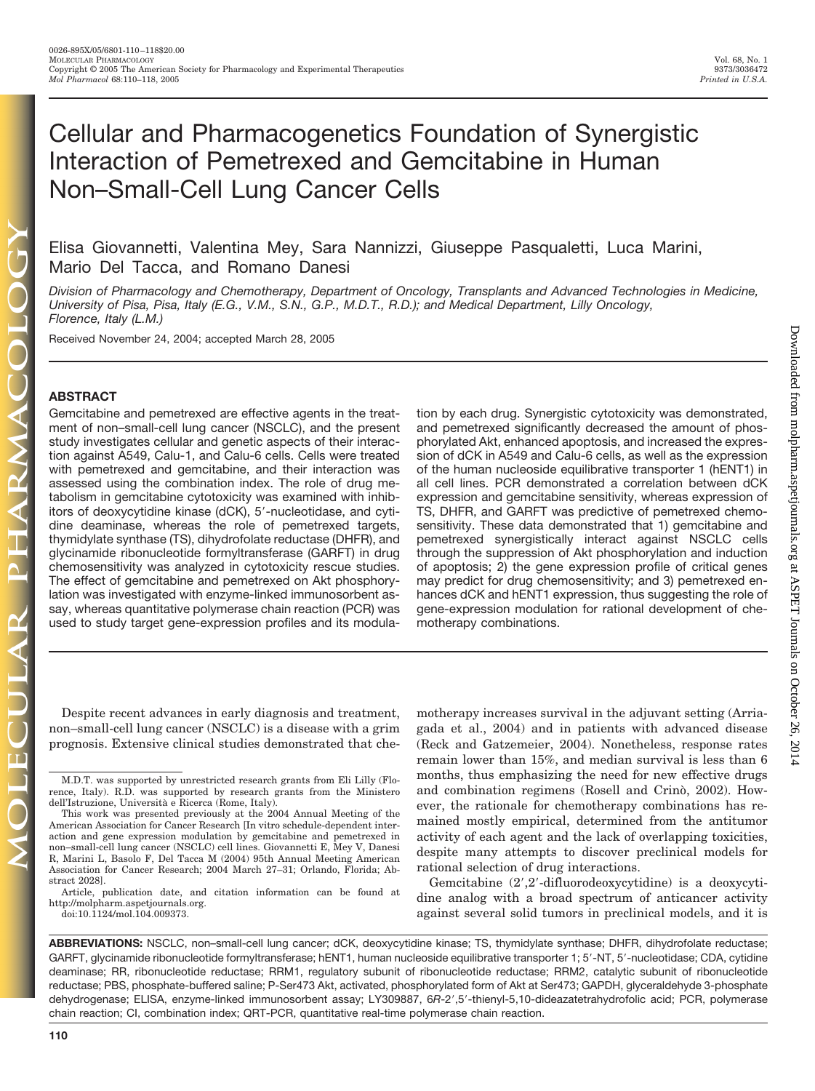# Cellular and Pharmacogenetics Foundation of Synergistic Interaction of Pemetrexed and Gemcitabine in Human Non–Small-Cell Lung Cancer Cells

Elisa Giovannetti, Valentina Mey, Sara Nannizzi, Giuseppe Pasqualetti, Luca Marini, Mario Del Tacca, and Romano Danesi

*Division of Pharmacology and Chemotherapy, Department of Oncology, Transplants and Advanced Technologies in Medicine, University of Pisa, Pisa, Italy (E.G., V.M., S.N., G.P., M.D.T., R.D.); and Medical Department, Lilly Oncology, Florence, Italy (L.M.)*

Received November 24, 2004; accepted March 28, 2005

# **ABSTRACT**

Gemcitabine and pemetrexed are effective agents in the treatment of non–small-cell lung cancer (NSCLC), and the present study investigates cellular and genetic aspects of their interaction against A549, Calu-1, and Calu-6 cells. Cells were treated with pemetrexed and gemcitabine, and their interaction was assessed using the combination index. The role of drug metabolism in gemcitabine cytotoxicity was examined with inhibitors of deoxycytidine kinase (dCK), 5-nucleotidase, and cytidine deaminase, whereas the role of pemetrexed targets, thymidylate synthase (TS), dihydrofolate reductase (DHFR), and glycinamide ribonucleotide formyltransferase (GARFT) in drug chemosensitivity was analyzed in cytotoxicity rescue studies. The effect of gemcitabine and pemetrexed on Akt phosphorylation was investigated with enzyme-linked immunosorbent assay, whereas quantitative polymerase chain reaction (PCR) was used to study target gene-expression profiles and its modulation by each drug. Synergistic cytotoxicity was demonstrated, and pemetrexed significantly decreased the amount of phosphorylated Akt, enhanced apoptosis, and increased the expression of dCK in A549 and Calu-6 cells, as well as the expression of the human nucleoside equilibrative transporter 1 (hENT1) in all cell lines. PCR demonstrated a correlation between dCK expression and gemcitabine sensitivity, whereas expression of TS, DHFR, and GARFT was predictive of pemetrexed chemosensitivity. These data demonstrated that 1) gemcitabine and pemetrexed synergistically interact against NSCLC cells through the suppression of Akt phosphorylation and induction of apoptosis; 2) the gene expression profile of critical genes may predict for drug chemosensitivity; and 3) pemetrexed enhances dCK and hENT1 expression, thus suggesting the role of gene-expression modulation for rational development of chemotherapy combinations.

Despite recent advances in early diagnosis and treatment, non–small-cell lung cancer (NSCLC) is a disease with a grim prognosis. Extensive clinical studies demonstrated that chemotherapy increases survival in the adjuvant setting (Arriagada et al., 2004) and in patients with advanced disease (Reck and Gatzemeier, 2004). Nonetheless, response rates remain lower than 15%, and median survival is less than 6 months, thus emphasizing the need for new effective drugs and combination regimens (Rosell and Crino, 2002). However, the rationale for chemotherapy combinations has remained mostly empirical, determined from the antitumor activity of each agent and the lack of overlapping toxicities, despite many attempts to discover preclinical models for rational selection of drug interactions.

Gemcitabine (2,2-difluorodeoxycytidine) is a deoxycytidine analog with a broad spectrum of anticancer activity against several solid tumors in preclinical models, and it is

**ABBREVIATIONS:** NSCLC, non–small-cell lung cancer; dCK, deoxycytidine kinase; TS, thymidylate synthase; DHFR, dihydrofolate reductase; GARFT, glycinamide ribonucleotide formyltransferase; hENT1, human nucleoside equilibrative transporter 1; 5'-NT, 5'-nucleotidase; CDA, cytidine deaminase; RR, ribonucleotide reductase; RRM1, regulatory subunit of ribonucleotide reductase; RRM2, catalytic subunit of ribonucleotide reductase; PBS, phosphate-buffered saline; P-Ser473 Akt, activated, phosphorylated form of Akt at Ser473; GAPDH, glyceraldehyde 3-phosphate dehydrogenase; ELISA, enzyme-linked immunosorbent assay; LY309887, 6*R*-2,5-thienyl-5,10-dideazatetrahydrofolic acid; PCR, polymerase chain reaction; CI, combination index; QRT-PCR, quantitative real-time polymerase chain reaction.

M.D.T. was supported by unrestricted research grants from Eli Lilly (Florence, Italy). R.D. was supported by research grants from the Ministero dell'Istruzione, Universita` e Ricerca (Rome, Italy).

This work was presented previously at the 2004 Annual Meeting of the American Association for Cancer Research [In vitro schedule-dependent interaction and gene expression modulation by gemcitabine and pemetrexed in non–small-cell lung cancer (NSCLC) cell lines. Giovannetti E, Mey V, Danesi R, Marini L, Basolo F, Del Tacca M (2004) 95th Annual Meeting American Association for Cancer Research; 2004 March 27–31; Orlando, Florida; Abstract 2028].

Article, publication date, and citation information can be found at http://molpharm.aspetjournals.org.

doi:10.1124/mol.104.009373.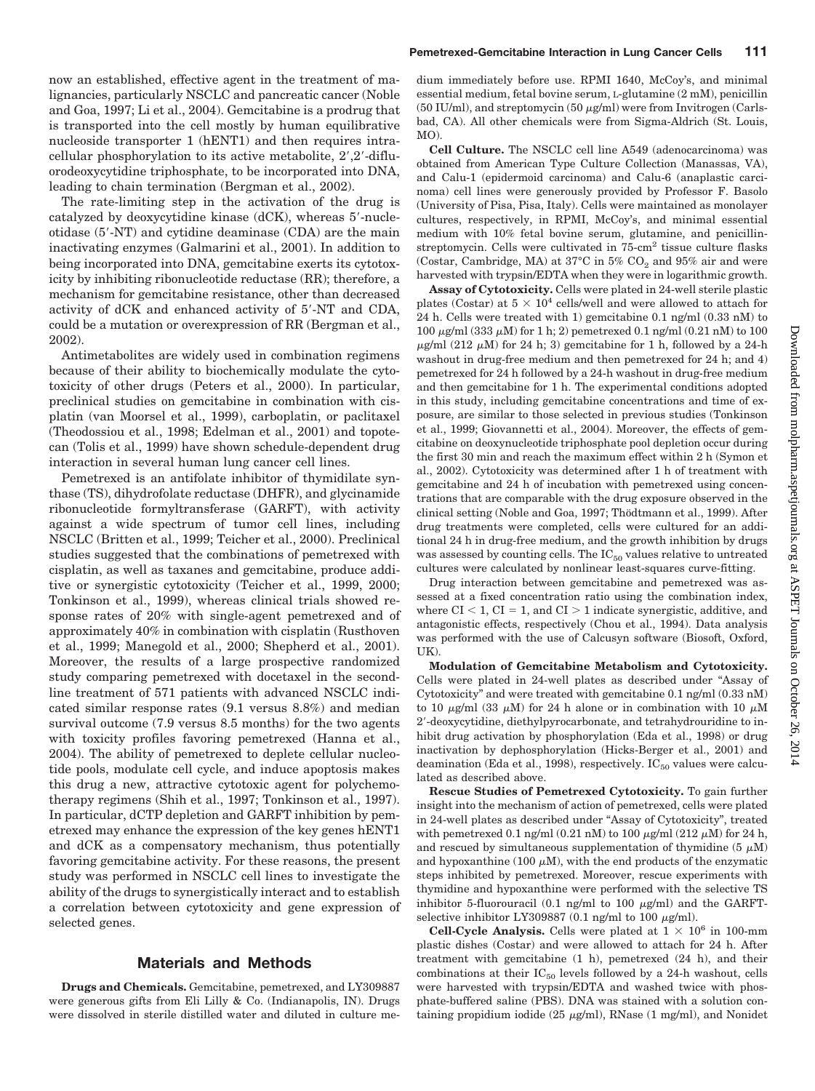now an established, effective agent in the treatment of malignancies, particularly NSCLC and pancreatic cancer (Noble and Goa, 1997; Li et al., 2004). Gemcitabine is a prodrug that is transported into the cell mostly by human equilibrative nucleoside transporter 1 (hENT1) and then requires intracellular phosphorylation to its active metabolite,  $2^{\prime}$ , $2^{\prime}$ -difluorodeoxycytidine triphosphate, to be incorporated into DNA, leading to chain termination (Bergman et al., 2002).

The rate-limiting step in the activation of the drug is catalyzed by deoxycytidine kinase  $(dCK)$ , whereas  $5'$ -nucleotidase (5-NT) and cytidine deaminase (CDA) are the main inactivating enzymes (Galmarini et al., 2001). In addition to being incorporated into DNA, gemcitabine exerts its cytotoxicity by inhibiting ribonucleotide reductase (RR); therefore, a mechanism for gemcitabine resistance, other than decreased activity of dCK and enhanced activity of 5-NT and CDA, could be a mutation or overexpression of RR (Bergman et al., 2002).

Antimetabolites are widely used in combination regimens because of their ability to biochemically modulate the cytotoxicity of other drugs (Peters et al., 2000). In particular, preclinical studies on gemcitabine in combination with cisplatin (van Moorsel et al., 1999), carboplatin, or paclitaxel (Theodossiou et al., 1998; Edelman et al., 2001) and topotecan (Tolis et al., 1999) have shown schedule-dependent drug interaction in several human lung cancer cell lines.

Pemetrexed is an antifolate inhibitor of thymidilate synthase (TS), dihydrofolate reductase (DHFR), and glycinamide ribonucleotide formyltransferase (GARFT), with activity against a wide spectrum of tumor cell lines, including NSCLC (Britten et al., 1999; Teicher et al., 2000). Preclinical studies suggested that the combinations of pemetrexed with cisplatin, as well as taxanes and gemcitabine, produce additive or synergistic cytotoxicity (Teicher et al., 1999, 2000; Tonkinson et al., 1999), whereas clinical trials showed response rates of 20% with single-agent pemetrexed and of approximately 40% in combination with cisplatin (Rusthoven et al., 1999; Manegold et al., 2000; Shepherd et al., 2001). Moreover, the results of a large prospective randomized study comparing pemetrexed with docetaxel in the secondline treatment of 571 patients with advanced NSCLC indicated similar response rates (9.1 versus 8.8%) and median survival outcome (7.9 versus 8.5 months) for the two agents with toxicity profiles favoring pemetrexed (Hanna et al., 2004). The ability of pemetrexed to deplete cellular nucleotide pools, modulate cell cycle, and induce apoptosis makes this drug a new, attractive cytotoxic agent for polychemotherapy regimens (Shih et al., 1997; Tonkinson et al., 1997). In particular, dCTP depletion and GARFT inhibition by pemetrexed may enhance the expression of the key genes hENT1 and dCK as a compensatory mechanism, thus potentially favoring gemcitabine activity. For these reasons, the present study was performed in NSCLC cell lines to investigate the ability of the drugs to synergistically interact and to establish a correlation between cytotoxicity and gene expression of selected genes.

# **Materials and Methods**

**Drugs and Chemicals.** Gemcitabine, pemetrexed, and LY309887 were generous gifts from Eli Lilly & Co. (Indianapolis, IN). Drugs were dissolved in sterile distilled water and diluted in culture medium immediately before use. RPMI 1640, McCoy's, and minimal essential medium, fetal bovine serum, L-glutamine (2 mM), penicillin (50 IU/ml), and streptomycin (50  $\mu$ g/ml) were from Invitrogen (Carlsbad, CA). All other chemicals were from Sigma-Aldrich (St. Louis,  $MO$ )

**Cell Culture.** The NSCLC cell line A549 (adenocarcinoma) was obtained from American Type Culture Collection (Manassas, VA), and Calu-1 (epidermoid carcinoma) and Calu-6 (anaplastic carcinoma) cell lines were generously provided by Professor F. Basolo (University of Pisa, Pisa, Italy). Cells were maintained as monolayer cultures, respectively, in RPMI, McCoy's, and minimal essential medium with 10% fetal bovine serum, glutamine, and penicillinstreptomycin. Cells were cultivated in 75-cm<sup>2</sup> tissue culture flasks (Costar, Cambridge, MA) at  $37^{\circ}$ C in  $5\%$  CO<sub>2</sub> and  $95\%$  air and were harvested with trypsin/EDTA when they were in logarithmic growth.

**Assay of Cytotoxicity.** Cells were plated in 24-well sterile plastic plates (Costar) at  $5 \times 10^4$  cells/well and were allowed to attach for 24 h. Cells were treated with 1) gemcitabine 0.1 ng/ml (0.33 nM) to 100  $\mu$ g/ml (333  $\mu$ M) for 1 h; 2) pemetrexed 0.1 ng/ml (0.21 nM) to 100  $\mu$ g/ml (212  $\mu$ M) for 24 h; 3) gemcitabine for 1 h, followed by a 24-h washout in drug-free medium and then pemetrexed for 24 h; and 4) pemetrexed for 24 h followed by a 24-h washout in drug-free medium and then gemcitabine for 1 h. The experimental conditions adopted in this study, including gemcitabine concentrations and time of exposure, are similar to those selected in previous studies (Tonkinson et al., 1999; Giovannetti et al., 2004). Moreover, the effects of gemcitabine on deoxynucleotide triphosphate pool depletion occur during the first 30 min and reach the maximum effect within 2 h (Symon et al., 2002). Cytotoxicity was determined after 1 h of treatment with gemcitabine and 24 h of incubation with pemetrexed using concentrations that are comparable with the drug exposure observed in the clinical setting (Noble and Goa, 1997; Thödtmann et al., 1999). After drug treatments were completed, cells were cultured for an additional 24 h in drug-free medium, and the growth inhibition by drugs was assessed by counting cells. The  $IC_{50}$  values relative to untreated cultures were calculated by nonlinear least-squares curve-fitting.

Drug interaction between gemcitabine and pemetrexed was assessed at a fixed concentration ratio using the combination index, where  $CI < 1$ ,  $CI = 1$ , and  $CI > 1$  indicate synergistic, additive, and antagonistic effects, respectively (Chou et al., 1994). Data analysis was performed with the use of Calcusyn software (Biosoft, Oxford, UK).

**Modulation of Gemcitabine Metabolism and Cytotoxicity.** Cells were plated in 24-well plates as described under "Assay of Cytotoxicity" and were treated with gemcitabine 0.1 ng/ml (0.33 nM) to 10  $\mu$ g/ml (33  $\mu$ M) for 24 h alone or in combination with 10  $\mu$ M 2-deoxycytidine, diethylpyrocarbonate, and tetrahydrouridine to inhibit drug activation by phosphorylation (Eda et al., 1998) or drug inactivation by dephosphorylation (Hicks-Berger et al., 2001) and deamination (Eda et al., 1998), respectively.  $IC_{50}$  values were calculated as described above.

**Rescue Studies of Pemetrexed Cytotoxicity.** To gain further insight into the mechanism of action of pemetrexed, cells were plated in 24-well plates as described under "Assay of Cytotoxicity", treated with pemetrexed 0.1 ng/ml (0.21 nM) to 100  $\mu$ g/ml (212  $\mu$ M) for 24 h, and rescued by simultaneous supplementation of thymidine  $(5 \mu M)$ and hypoxanthine (100  $\mu$ M), with the end products of the enzymatic steps inhibited by pemetrexed. Moreover, rescue experiments with thymidine and hypoxanthine were performed with the selective TS inhibitor 5-fluorouracil (0.1 ng/ml to 100  $\mu$ g/ml) and the GARFTselective inhibitor LY309887 (0.1 ng/ml to 100  $\mu$ g/ml).

**Cell-Cycle Analysis.** Cells were plated at  $1 \times 10^6$  in 100-mm plastic dishes (Costar) and were allowed to attach for 24 h. After treatment with gemcitabine (1 h), pemetrexed (24 h), and their combinations at their  $IC_{50}$  levels followed by a 24-h washout, cells were harvested with trypsin/EDTA and washed twice with phosphate-buffered saline (PBS). DNA was stained with a solution containing propidium iodide  $(25 \mu g/ml)$ , RNase  $(1 \mu g/ml)$ , and Nonidet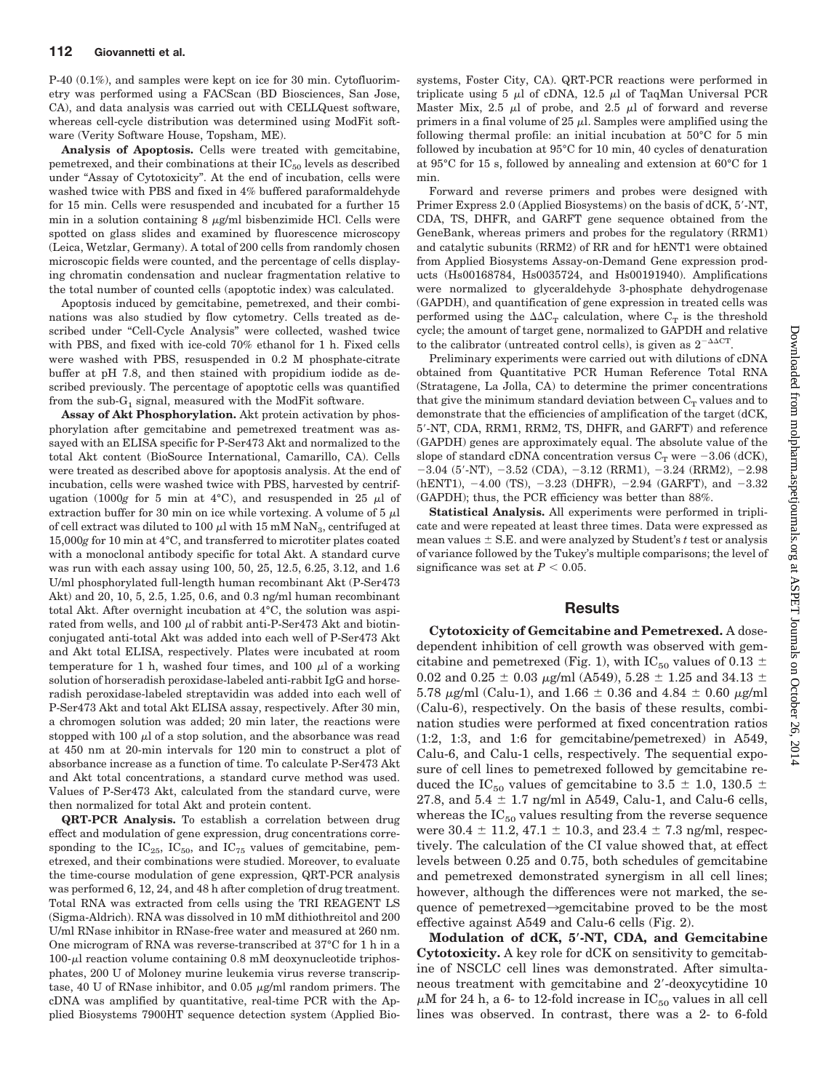P-40 (0.1%), and samples were kept on ice for 30 min. Cytofluorimetry was performed using a FACScan (BD Biosciences, San Jose, CA), and data analysis was carried out with CELLQuest software, whereas cell-cycle distribution was determined using ModFit software (Verity Software House, Topsham, ME).

**Analysis of Apoptosis.** Cells were treated with gemcitabine, pemetrexed, and their combinations at their  $IC_{50}$  levels as described under "Assay of Cytotoxicity". At the end of incubation, cells were washed twice with PBS and fixed in 4% buffered paraformaldehyde for 15 min. Cells were resuspended and incubated for a further 15 min in a solution containing  $8 \mu g/ml$  bisbenzimide HCl. Cells were spotted on glass slides and examined by fluorescence microscopy (Leica, Wetzlar, Germany). A total of 200 cells from randomly chosen microscopic fields were counted, and the percentage of cells displaying chromatin condensation and nuclear fragmentation relative to the total number of counted cells (apoptotic index) was calculated.

Apoptosis induced by gemcitabine, pemetrexed, and their combinations was also studied by flow cytometry. Cells treated as described under "Cell-Cycle Analysis" were collected, washed twice with PBS, and fixed with ice-cold 70% ethanol for 1 h. Fixed cells were washed with PBS, resuspended in 0.2 M phosphate-citrate buffer at pH 7.8, and then stained with propidium iodide as described previously. The percentage of apoptotic cells was quantified from the sub- $G_1$  signal, measured with the ModFit software.

**Assay of Akt Phosphorylation.** Akt protein activation by phosphorylation after gemcitabine and pemetrexed treatment was assayed with an ELISA specific for P-Ser473 Akt and normalized to the total Akt content (BioSource International, Camarillo, CA). Cells were treated as described above for apoptosis analysis. At the end of incubation, cells were washed twice with PBS, harvested by centrifugation (1000 $g$  for 5 min at 4°C), and resuspended in 25  $\mu$  of extraction buffer for 30 min on ice while vortexing. A volume of  $5 \mu$ l of cell extract was diluted to 100  $\mu$ l with 15 mM NaN<sub>3</sub>, centrifuged at 15,000*g* for 10 min at 4°C, and transferred to microtiter plates coated with a monoclonal antibody specific for total Akt. A standard curve was run with each assay using 100, 50, 25, 12.5, 6.25, 3.12, and 1.6 U/ml phosphorylated full-length human recombinant Akt (P-Ser473 Akt) and 20, 10, 5, 2.5, 1.25, 0.6, and 0.3 ng/ml human recombinant total Akt. After overnight incubation at 4°C, the solution was aspirated from wells, and 100  $\mu$ l of rabbit anti-P-Ser473 Akt and biotinconjugated anti-total Akt was added into each well of P-Ser473 Akt and Akt total ELISA, respectively. Plates were incubated at room temperature for 1 h, washed four times, and 100  $\mu$ l of a working solution of horseradish peroxidase-labeled anti-rabbit IgG and horseradish peroxidase-labeled streptavidin was added into each well of P-Ser473 Akt and total Akt ELISA assay, respectively. After 30 min, a chromogen solution was added; 20 min later, the reactions were stopped with 100  $\mu$  of a stop solution, and the absorbance was read at 450 nm at 20-min intervals for 120 min to construct a plot of absorbance increase as a function of time. To calculate P-Ser473 Akt and Akt total concentrations, a standard curve method was used. Values of P-Ser473 Akt, calculated from the standard curve, were then normalized for total Akt and protein content.

**QRT-PCR Analysis.** To establish a correlation between drug effect and modulation of gene expression, drug concentrations corresponding to the  $IC_{25}$ ,  $IC_{50}$ , and  $IC_{75}$  values of gemcitabine, pemetrexed, and their combinations were studied. Moreover, to evaluate the time-course modulation of gene expression, QRT-PCR analysis was performed 6, 12, 24, and 48 h after completion of drug treatment. Total RNA was extracted from cells using the TRI REAGENT LS (Sigma-Aldrich). RNA was dissolved in 10 mM dithiothreitol and 200 U/ml RNase inhibitor in RNase-free water and measured at 260 nm. One microgram of RNA was reverse-transcribed at 37°C for 1 h in a  $100-\mu$  reaction volume containing 0.8 mM deoxynucleotide triphosphates, 200 U of Moloney murine leukemia virus reverse transcriptase, 40 U of RNase inhibitor, and 0.05  $\mu$ g/ml random primers. The cDNA was amplified by quantitative, real-time PCR with the Applied Biosystems 7900HT sequence detection system (Applied Biosystems, Foster City, CA). QRT-PCR reactions were performed in triplicate using  $5 \mu l$  of cDNA,  $12.5 \mu l$  of TaqMan Universal PCR Master Mix, 2.5  $\mu$ l of probe, and 2.5  $\mu$ l of forward and reverse primers in a final volume of  $25 \mu$ . Samples were amplified using the following thermal profile: an initial incubation at 50°C for 5 min followed by incubation at 95°C for 10 min, 40 cycles of denaturation at 95°C for 15 s, followed by annealing and extension at 60°C for 1 min.

Forward and reverse primers and probes were designed with Primer Express 2.0 (Applied Biosystems) on the basis of dCK, 5-NT, CDA, TS, DHFR, and GARFT gene sequence obtained from the GeneBank, whereas primers and probes for the regulatory (RRM1) and catalytic subunits (RRM2) of RR and for hENT1 were obtained from Applied Biosystems Assay-on-Demand Gene expression products (Hs00168784, Hs0035724, and Hs00191940). Amplifications were normalized to glyceraldehyde 3-phosphate dehydrogenase (GAPDH), and quantification of gene expression in treated cells was performed using the  $\Delta \Delta C_T$  calculation, where  $C_T$  is the threshold cycle; the amount of target gene, normalized to GAPDH and relative to the calibrator (untreated control cells), is given as  $2^{-\Delta\Delta CT}$ .

Preliminary experiments were carried out with dilutions of cDNA obtained from Quantitative PCR Human Reference Total RNA (Stratagene, La Jolla, CA) to determine the primer concentrations that give the minimum standard deviation between  $C_T$  values and to demonstrate that the efficiencies of amplification of the target (dCK, 5-NT, CDA, RRM1, RRM2, TS, DHFR, and GARFT) and reference (GAPDH) genes are approximately equal. The absolute value of the slope of standard cDNA concentration versus  $C_T$  were  $-3.06$  (dCK),  $-3.04$  (5'-NT),  $-3.52$  (CDA),  $-3.12$  (RRM1),  $-3.24$  (RRM2),  $-2.98$ (hENT1),  $-4.00$  (TS),  $-3.23$  (DHFR),  $-2.94$  (GARFT), and  $-3.32$ (GAPDH); thus, the PCR efficiency was better than 88%.

**Statistical Analysis.** All experiments were performed in triplicate and were repeated at least three times. Data were expressed as mean values  $\pm$  S.E. and were analyzed by Student's *t* test or analysis of variance followed by the Tukey's multiple comparisons; the level of significance was set at  $P < 0.05$ .

# **Results**

**Cytotoxicity of Gemcitabine and Pemetrexed.** A dosedependent inhibition of cell growth was observed with gemcitabine and pemetrexed (Fig. 1), with IC<sub>50</sub> values of 0.13  $\pm$ 0.02 and 0.25  $\pm$  0.03  $\mu\text{g/ml}$  (A549), 5.28  $\pm$  1.25 and 34.13  $\pm$ 5.78  $\mu$ g/ml (Calu-1), and 1.66  $\pm$  0.36 and 4.84  $\pm$  0.60  $\mu$ g/ml (Calu-6), respectively. On the basis of these results, combination studies were performed at fixed concentration ratios (1:2, 1:3, and 1:6 for gemcitabine/pemetrexed) in A549, Calu-6, and Calu-1 cells, respectively. The sequential exposure of cell lines to pemetrexed followed by gemcitabine reduced the IC<sub>50</sub> values of gemcitabine to 3.5  $\pm$  1.0, 130.5  $\pm$ 27.8, and  $5.4 \pm 1.7$  ng/ml in A549, Calu-1, and Calu-6 cells, whereas the  $IC_{50}$  values resulting from the reverse sequence were  $30.4 \pm 11.2$ ,  $47.1 \pm 10.3$ , and  $23.4 \pm 7.3$  ng/ml, respectively. The calculation of the CI value showed that, at effect levels between 0.25 and 0.75, both schedules of gemcitabine and pemetrexed demonstrated synergism in all cell lines; however, although the differences were not marked, the sequence of pemetrexed $\rightarrow$ gemcitabine proved to be the most effective against A549 and Calu-6 cells (Fig. 2).

**Modulation of dCK, 5-NT, CDA, and Gemcitabine Cytotoxicity.** A key role for dCK on sensitivity to gemeitabine of NSCLC cell lines was demonstrated. After simultaneous treatment with gemcitabine and 2-deoxycytidine 10  $\mu$ M for 24 h, a 6- to 12-fold increase in IC<sub>50</sub> values in all cell lines was observed. In contrast, there was a 2- to 6-fold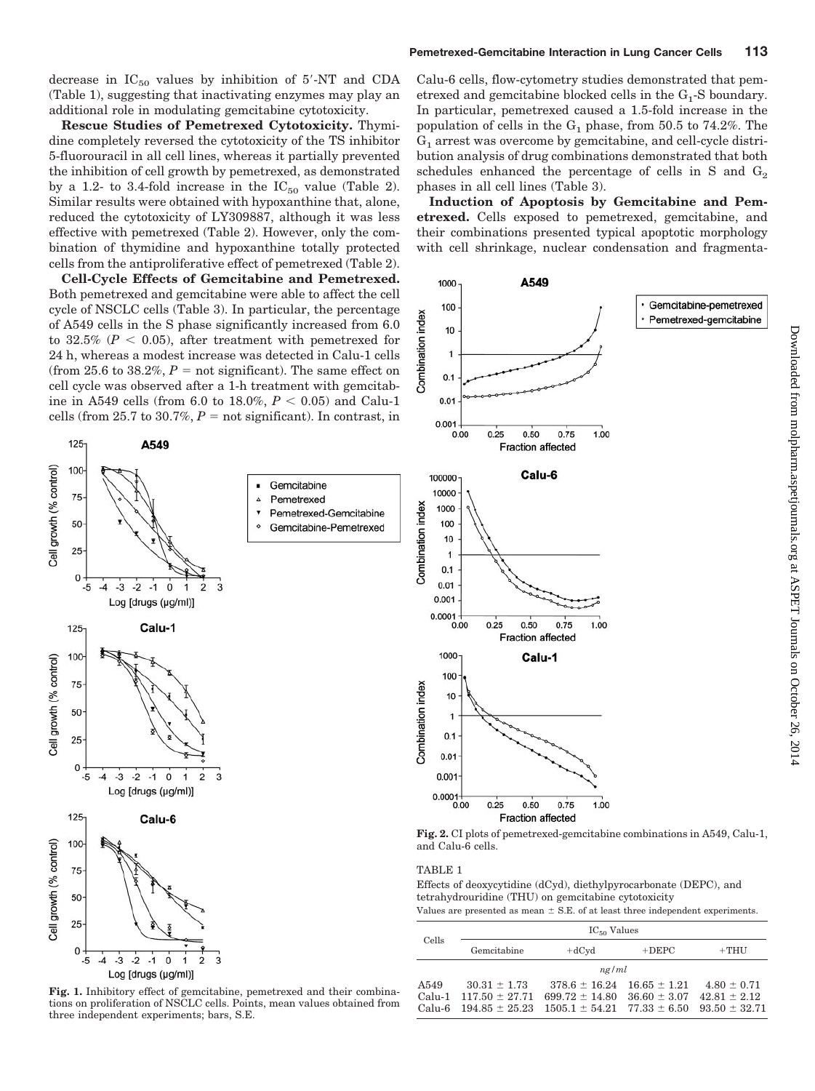decrease in  $IC_{50}$  values by inhibition of 5'-NT and CDA (Table 1), suggesting that inactivating enzymes may play an additional role in modulating gemcitabine cytotoxicity.

**Rescue Studies of Pemetrexed Cytotoxicity.** Thymidine completely reversed the cytotoxicity of the TS inhibitor 5-fluorouracil in all cell lines, whereas it partially prevented the inhibition of cell growth by pemetrexed, as demonstrated by a 1.2- to 3.4-fold increase in the  $IC_{50}$  value (Table 2). Similar results were obtained with hypoxanthine that, alone, reduced the cytotoxicity of LY309887, although it was less effective with pemetrexed (Table 2). However, only the combination of thymidine and hypoxanthine totally protected cells from the antiproliferative effect of pemetrexed (Table 2).

**Cell-Cycle Effects of Gemcitabine and Pemetrexed.** Both pemetrexed and gemcitabine were able to affect the cell cycle of NSCLC cells (Table 3). In particular, the percentage of A549 cells in the S phase significantly increased from 6.0 to  $32.5\%$  ( $P < 0.05$ ), after treatment with pemetrexed for 24 h, whereas a modest increase was detected in Calu-1 cells (from 25.6 to 38.2%,  $P =$  not significant). The same effect on cell cycle was observed after a 1-h treatment with gemcitabine in A549 cells (from 6.0 to 18.0%,  $P < 0.05$ ) and Calu-1 cells (from 25.7 to 30.7%,  $P =$  not significant). In contrast, in



**Fig. 1.** Inhibitory effect of gemcitabine, pemetrexed and their combinations on proliferation of NSCLC cells. Points, mean values obtained from three independent experiments; bars, S.E.

Calu-6 cells, flow-cytometry studies demonstrated that pemetrexed and gemcitabine blocked cells in the  $G_1$ -S boundary. In particular, pemetrexed caused a 1.5-fold increase in the population of cells in the  $G_1$  phase, from 50.5 to 74.2%. The  $G_1$  arrest was overcome by gemcitabine, and cell-cycle distribution analysis of drug combinations demonstrated that both schedules enhanced the percentage of cells in S and  $G_2$ phases in all cell lines (Table 3).

**Induction of Apoptosis by Gemcitabine and Pemetrexed.** Cells exposed to pemetrexed, gemcitabine, and their combinations presented typical apoptotic morphology with cell shrinkage, nuclear condensation and fragmenta-



**Fig. 2.** CI plots of pemetrexed-gemcitabine combinations in A549, Calu-1, and Calu-6 cells.

## TABLE 1

Effects of deoxycytidine (dCyd), diethylpyrocarbonate (DEPC), and tetrahydrouridine (THU) on gemcitabine cytotoxicity

|  |  |  |  |  |  | Values are presented as mean $\pm$ S.E. of at least three independent experiments. |  |
|--|--|--|--|--|--|------------------------------------------------------------------------------------|--|
|  |  |  |  |  |  |                                                                                    |  |

|       | $IC_{50}$ Values          |                                     |                  |                   |  |  |
|-------|---------------------------|-------------------------------------|------------------|-------------------|--|--|
| Cells | Gemcitabine               | $+ dCyd$                            | $+$ DEPC         | $+THU$            |  |  |
|       | ng/ml                     |                                     |                  |                   |  |  |
| A549  | $30.31 \pm 1.73$          | $378.6 \pm 16.24$                   | $16.65 \pm 1.21$ | $4.80 \pm 0.71$   |  |  |
|       | Calu-1 117.50 $\pm$ 27.71 | $699.72 \pm 14.80$                  | $36.60 \pm 3.07$ | $42.81 \pm 2.12$  |  |  |
|       | Calu-6 194.85 $\pm$ 25.23 | $1505.1 \pm 54.21$ 77.33 $\pm$ 6.50 |                  | $93.50 \pm 32.71$ |  |  |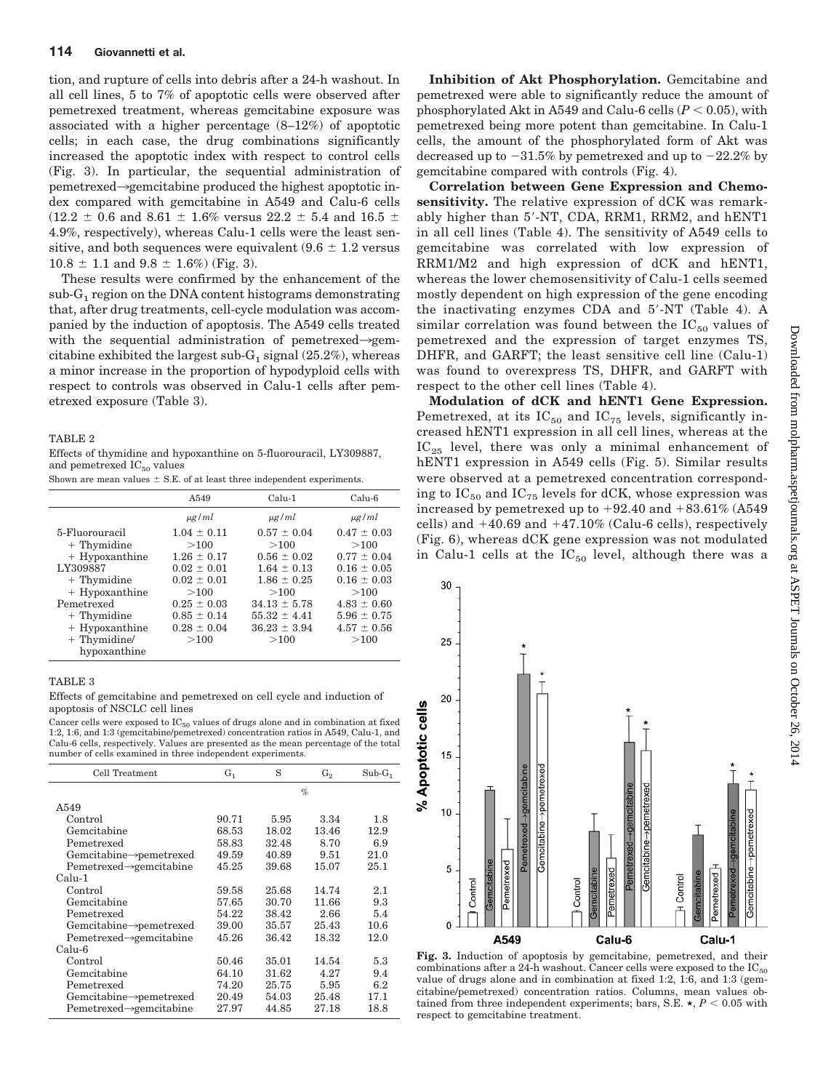tion, and rupture of cells into debris after a 24-h washout. In all cell lines, 5 to 7% of apoptotic cells were observed after pemetrexed treatment, whereas gemcitabine exposure was associated with a higher percentage (8–12%) of apoptotic cells; in each case, the drug combinations significantly increased the apoptotic index with respect to control cells (Fig. 3). In particular, the sequential administration of  $p$ emetrexed $\rightarrow$ gemcitabine produced the highest apoptotic index compared with gemcitabine in A549 and Calu-6 cells  $(12.2 \pm 0.6 \text{ and } 8.61 \pm 1.6\% \text{ versus } 22.2 \pm 5.4 \text{ and } 16.5 \pm 1.6\% \text{ versus } 22.2 \pm 1.6\% \text{ and } 16.5 \pm 1.6\% \text{ versus } 22.2 \pm 1.6\% \text{ and } 16.5 \pm 1.6\% \text{ versus } 22.2 \pm 1.6\% \text{ and } 16.5 \pm 1.6\% \text{ versus } 22.2 \pm 1.6\% \text{ and } 16.5 \pm 1.6\% \text{ versus } 22.2 \pm$ 4.9%, respectively), whereas Calu-1 cells were the least sensitive, and both sequences were equivalent  $(9.6 \pm 1.2 \text{ versus}$  $10.8 \pm 1.1$  and  $9.8 \pm 1.6\%$ ) (Fig. 3).

These results were confirmed by the enhancement of the  $sub-G<sub>1</sub>$  region on the DNA content histograms demonstrating that, after drug treatments, cell-cycle modulation was accompanied by the induction of apoptosis. The A549 cells treated with the sequential administration of pemetrexed $\rightarrow$ gemcitabine exhibited the largest sub- $G_1$  signal (25.2%), whereas a minor increase in the proportion of hypodyploid cells with respect to controls was observed in Calu-1 cells after pemetrexed exposure (Table 3).

### TABLE 2

Effects of thymidine and hypoxanthine on 5-fluorouracil, LY309887, and pemetrexed  $IC_{50}$  values

Shown are mean values  $\pm$  S.E. of at least three independent experiments.

|                  | A549            | $Calu-1$         | Calu-6          |
|------------------|-----------------|------------------|-----------------|
|                  | $\mu$ g/ml      | $\mu$ g/ml       | $\mu$ g/ml      |
| 5-Fluorouracil   | $1.04 \pm 0.11$ | $0.57 \pm 0.04$  | $0.47 \pm 0.03$ |
| + Thymidine      | >100            | >100             | >100            |
| $+$ Hypoxanthine | $1.26 \pm 0.17$ | $0.56 \pm 0.02$  | $0.77 \pm 0.04$ |
| LY309887         | $0.02 \pm 0.01$ | $1.64 \pm 0.13$  | $0.16 \pm 0.05$ |
| $+$ Thymidine    | $0.02 \pm 0.01$ | $1.86 \pm 0.25$  | $0.16 \pm 0.03$ |
| $+$ Hypoxanthine | >100            | >100             | >100            |
| Pemetrexed       | $0.25 \pm 0.03$ | $34.13 \pm 5.78$ | $4.83 \pm 0.60$ |
| + Thymidine      | $0.85 \pm 0.14$ | $55.32 \pm 4.41$ | $5.96 \pm 0.75$ |
| $+$ Hypoxanthine | $0.28 \pm 0.04$ | $36.23 \pm 3.94$ | $4.57 \pm 0.56$ |
| + Thymidine/     | >100            | >100             | >100            |
| hypoxanthine     |                 |                  |                 |

#### TABLE 3

Effects of gemcitabine and pemetrexed on cell cycle and induction of apoptosis of NSCLC cell lines

Cancer cells were exposed to  $IC_{50}$  values of drugs alone and in combination at fixed 1:2, 1:6, and 1:3 (gemcitabine/pemetrexed) concentration ratios in A549, Calu-1, and Calu-6 cells, respectively. Values are presented as the mean percentage of the total number of cells examined in three independent experiments.

| Cell Treatment                       | G <sub>1</sub> | S     | G <sub>2</sub> | $Sub-G_1$ |
|--------------------------------------|----------------|-------|----------------|-----------|
|                                      |                |       | $\%$           |           |
| A549                                 |                |       |                |           |
| Control                              | 90.71          | 5.95  | 3.34           | $1.8\,$   |
| Gemcitabine                          | 68.53          | 18.02 | 13.46          | 12.9      |
| Pemetrexed                           | 58.83          | 32.48 | 8.70           | 6.9       |
| Gemcitabine→pemetrexed               | 49.59          | 40.89 | 9.51           | 21.0      |
| Pemetrexed-seemcitabine              | 45.25          | 39.68 | 15.07          | 25.1      |
| $Calu-1$                             |                |       |                |           |
| Control                              | 59.58          | 25.68 | 14.74          | 2.1       |
| Gemcitabine                          | 57.65          | 30.70 | 11.66          | 9.3       |
| Pemetrexed                           | 54.22          | 38.42 | 2.66           | 5.4       |
| $Gemeitabine \rightarrow$ pemetrexed | 39.00          | 35.57 | 25.43          | 10.6      |
| Pemetrexed-seemcitabine              | 45.26          | 36.42 | 18.32          | 12.0      |
| Calu-6                               |                |       |                |           |
| Control                              | 50.46          | 35.01 | 14.54          | 5.3       |
| Gemcitabine                          | 64.10          | 31.62 | 4.27           | 9.4       |
| Pemetrexed                           | 74.20          | 25.75 | 5.95           | 6.2       |
| Gemcitabine→pemetrexed               | 20.49          | 54.03 | 25.48          | 17.1      |
| Pemetrexed-seemcitabine              | 27.97          | 44.85 | 27.18          | 18.8      |

**Inhibition of Akt Phosphorylation.** Gemcitabine and pemetrexed were able to significantly reduce the amount of phosphorylated Akt in A549 and Calu-6 cells  $(P < 0.05)$ , with pemetrexed being more potent than gemcitabine. In Calu-1 cells, the amount of the phosphorylated form of Akt was decreased up to  $-31.5\%$  by pemetrexed and up to  $-22.2\%$  by gemcitabine compared with controls (Fig. 4).

**Correlation between Gene Expression and Chemosensitivity.** The relative expression of dCK was remarkably higher than 5'-NT, CDA, RRM1, RRM2, and hENT1 in all cell lines (Table 4). The sensitivity of A549 cells to gemcitabine was correlated with low expression of RRM1/M2 and high expression of dCK and hENT1, whereas the lower chemosensitivity of Calu-1 cells seemed mostly dependent on high expression of the gene encoding the inactivating enzymes CDA and 5-NT (Table 4). A similar correlation was found between the  $IC_{50}$  values of pemetrexed and the expression of target enzymes TS, DHFR, and GARFT; the least sensitive cell line (Calu-1) was found to overexpress TS, DHFR, and GARFT with respect to the other cell lines (Table 4).

**Modulation of dCK and hENT1 Gene Expression.** Pemetrexed, at its  $IC_{50}$  and  $IC_{75}$  levels, significantly increased hENT1 expression in all cell lines, whereas at the  $IC_{25}$  level, there was only a minimal enhancement of hENT1 expression in A549 cells (Fig. 5). Similar results were observed at a pemetrexed concentration corresponding to  $IC_{50}$  and  $IC_{75}$  levels for dCK, whose expression was increased by pemetrexed up to  $+92.40$  and  $+83.61\%$  (A549) cells) and  $+40.69$  and  $+47.10\%$  (Calu-6 cells), respectively (Fig. 6), whereas dCK gene expression was not modulated in Calu-1 cells at the  $IC_{50}$  level, although there was a



**Fig. 3.** Induction of apoptosis by gemcitabine, pemetrexed, and their combinations after a 24-h washout. Cancer cells were exposed to the  $IC_{50}$ value of drugs alone and in combination at fixed 1:2, 1:6, and 1:3 (gemcitabine/pemetrexed) concentration ratios. Columns, mean values obtained from three independent experiments; bars, S.E.  $\star$ ,  $P < 0.05$  with respect to gemcitabine treatment.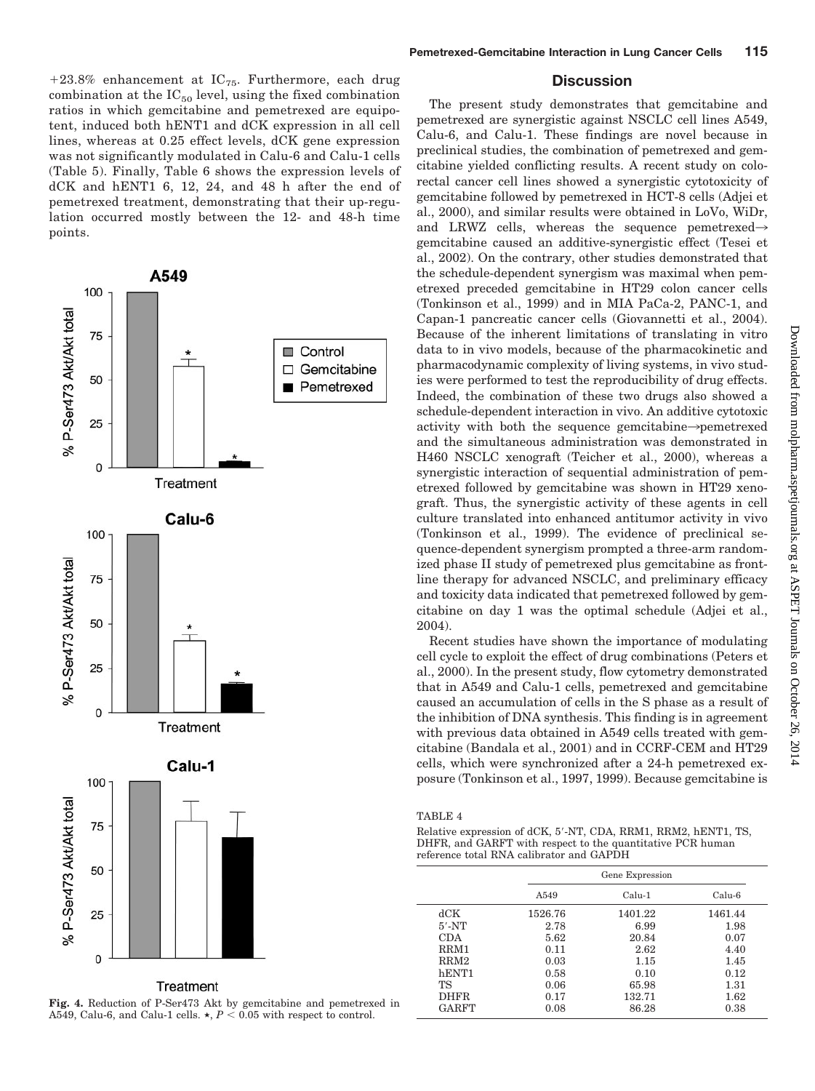+23.8% enhancement at  $IC_{75}$ . Furthermore, each drug combination at the  $IC_{50}$  level, using the fixed combination ratios in which gemcitabine and pemetrexed are equipotent, induced both hENT1 and dCK expression in all cell lines, whereas at 0.25 effect levels, dCK gene expression was not significantly modulated in Calu-6 and Calu-1 cells (Table 5). Finally, Table 6 shows the expression levels of dCK and hENT1 6, 12, 24, and 48 h after the end of pemetrexed treatment, demonstrating that their up-regulation occurred mostly between the 12- and 48-h time points.





# **Discussion**

The present study demonstrates that gemcitabine and pemetrexed are synergistic against NSCLC cell lines A549, Calu-6, and Calu-1. These findings are novel because in preclinical studies, the combination of pemetrexed and gemcitabine yielded conflicting results. A recent study on colorectal cancer cell lines showed a synergistic cytotoxicity of gemcitabine followed by pemetrexed in HCT-8 cells (Adjei et al., 2000), and similar results were obtained in LoVo, WiDr, and LRWZ cells, whereas the sequence pemetrexed $\rightarrow$ gemcitabine caused an additive-synergistic effect (Tesei et al., 2002). On the contrary, other studies demonstrated that the schedule-dependent synergism was maximal when pemetrexed preceded gemcitabine in HT29 colon cancer cells (Tonkinson et al., 1999) and in MIA PaCa-2, PANC-1, and Capan-1 pancreatic cancer cells (Giovannetti et al., 2004). Because of the inherent limitations of translating in vitro data to in vivo models, because of the pharmacokinetic and pharmacodynamic complexity of living systems, in vivo studies were performed to test the reproducibility of drug effects. Indeed, the combination of these two drugs also showed a schedule-dependent interaction in vivo. An additive cytotoxic activity with both the sequence gemcitabine $\rightarrow$ pemetrexed and the simultaneous administration was demonstrated in H460 NSCLC xenograft (Teicher et al., 2000), whereas a synergistic interaction of sequential administration of pemetrexed followed by gemcitabine was shown in HT29 xenograft. Thus, the synergistic activity of these agents in cell culture translated into enhanced antitumor activity in vivo (Tonkinson et al., 1999). The evidence of preclinical sequence-dependent synergism prompted a three-arm randomized phase II study of pemetrexed plus gemcitabine as frontline therapy for advanced NSCLC, and preliminary efficacy and toxicity data indicated that pemetrexed followed by gemcitabine on day 1 was the optimal schedule (Adjei et al., 2004).

Recent studies have shown the importance of modulating cell cycle to exploit the effect of drug combinations (Peters et al., 2000). In the present study, flow cytometry demonstrated that in A549 and Calu-1 cells, pemetrexed and gemcitabine caused an accumulation of cells in the S phase as a result of the inhibition of DNA synthesis. This finding is in agreement with previous data obtained in A549 cells treated with gemcitabine (Bandala et al., 2001) and in CCRF-CEM and HT29 cells, which were synchronized after a 24-h pemetrexed exposure (Tonkinson et al., 1997, 1999). Because gemcitabine is

## TABLE 4

Relative expression of dCK, 5-NT, CDA, RRM1, RRM2, hENT1, TS, DHFR, and GARFT with respect to the quantitative PCR human reference total RNA calibrator and GAPDH

|                  | Gene Expression |          |          |  |
|------------------|-----------------|----------|----------|--|
|                  | A549            | $Calu-1$ | $Calu-6$ |  |
| dCK              | 1526.76         | 1401.22  | 1461.44  |  |
| $5'$ -NT         | 2.78            | 6.99     | 1.98     |  |
| <b>CDA</b>       | 5.62            | 20.84    | 0.07     |  |
| RRM1             | 0.11            | 2.62     | 4.40     |  |
| RRM <sub>2</sub> | 0.03            | 1.15     | 1.45     |  |
| hENT1            | 0.58            | 0.10     | 0.12     |  |
| TS               | 0.06            | 65.98    | 1.31     |  |
| <b>DHFR</b>      | 0.17            | 132.71   | 1.62     |  |
| <b>GARFT</b>     | 0.08            | 86.28    | 0.38     |  |
|                  |                 |          |          |  |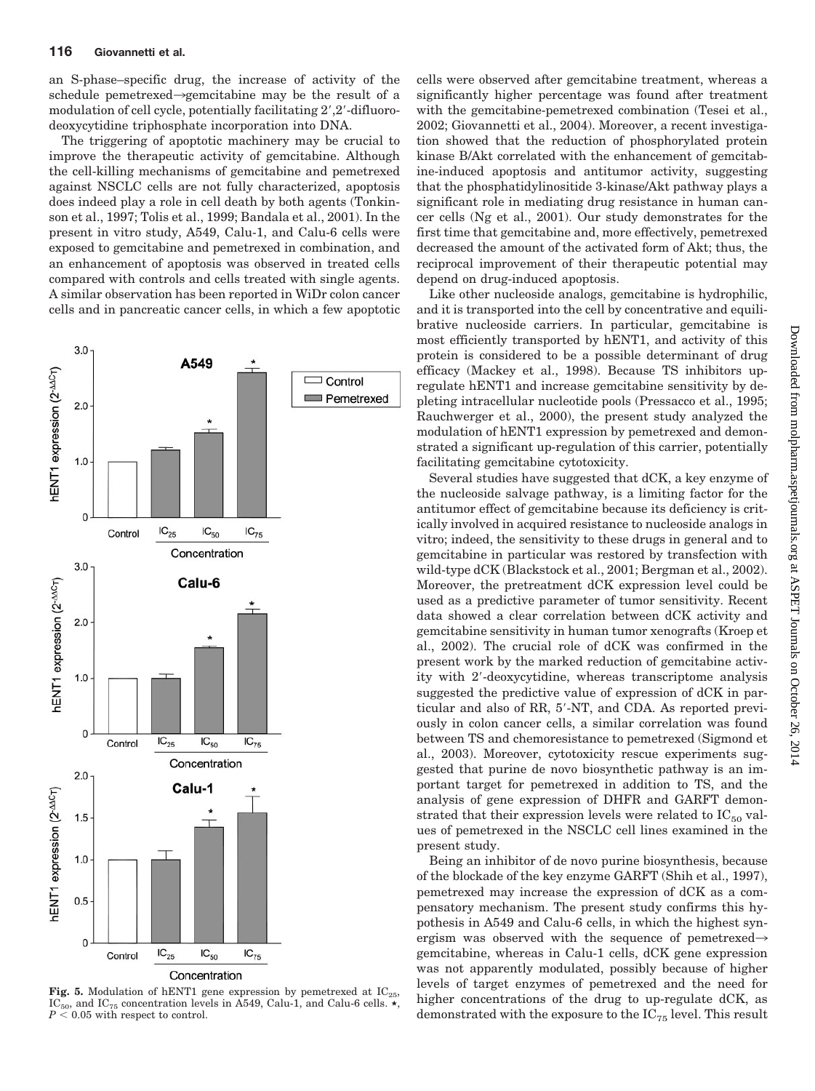an S-phase–specific drug, the increase of activity of the schedule pemetrexed $\rightarrow$ gemcitabine may be the result of a modulation of cell cycle, potentially facilitating 2', 2'-difluorodeoxycytidine triphosphate incorporation into DNA.

The triggering of apoptotic machinery may be crucial to improve the therapeutic activity of gemcitabine. Although the cell-killing mechanisms of gemcitabine and pemetrexed against NSCLC cells are not fully characterized, apoptosis does indeed play a role in cell death by both agents (Tonkinson et al., 1997; Tolis et al., 1999; Bandala et al., 2001). In the present in vitro study, A549, Calu-1, and Calu-6 cells were exposed to gemcitabine and pemetrexed in combination, and an enhancement of apoptosis was observed in treated cells compared with controls and cells treated with single agents. A similar observation has been reported in WiDr colon cancer cells and in pancreatic cancer cells, in which a few apoptotic



Fig. 5. Modulation of hENT1 gene expression by pemetrexed at  $IC_{25}$ , IC<sub>50</sub>, and IC<sub>75</sub> concentration levels in A549, Calu-1, and Calu-6 cells.  $\star$  *P* < 0.05 with respect to control. ,

cells were observed after gemcitabine treatment, whereas a significantly higher percentage was found after treatment with the gemcitabine-pemetrexed combination (Tesei et al., 2002; Giovannetti et al., 2004). Moreover, a recent investigation showed that the reduction of phosphorylated protein kinase B/Akt correlated with the enhancement of gemcitabine-induced apoptosis and antitumor activity, suggesting that the phosphatidylinositide 3-kinase/Akt pathway plays a significant role in mediating drug resistance in human cancer cells (Ng et al., 2001). Our study demonstrates for the first time that gemcitabine and, more effectively, pemetrexed decreased the amount of the activated form of Akt; thus, the reciprocal improvement of their therapeutic potential may depend on drug-induced apoptosis.

Like other nucleoside analogs, gemcitabine is hydrophilic, and it is transported into the cell by concentrative and equilibrative nucleoside carriers. In particular, gemcitabine is most efficiently transported by hENT1, and activity of this protein is considered to be a possible determinant of drug efficacy (Mackey et al., 1998). Because TS inhibitors upregulate hENT1 and increase gemcitabine sensitivity by depleting intracellular nucleotide pools (Pressacco et al., 1995; Rauchwerger et al., 2000), the present study analyzed the modulation of hENT1 expression by pemetrexed and demonstrated a significant up-regulation of this carrier, potentially facilitating gemcitabine cytotoxicity.

Several studies have suggested that dCK, a key enzyme of the nucleoside salvage pathway, is a limiting factor for the antitumor effect of gemcitabine because its deficiency is critically involved in acquired resistance to nucleoside analogs in vitro; indeed, the sensitivity to these drugs in general and to gemcitabine in particular was restored by transfection with wild-type dCK (Blackstock et al., 2001; Bergman et al., 2002). Moreover, the pretreatment dCK expression level could be used as a predictive parameter of tumor sensitivity. Recent data showed a clear correlation between dCK activity and gemcitabine sensitivity in human tumor xenografts (Kroep et al., 2002). The crucial role of dCK was confirmed in the present work by the marked reduction of gemcitabine activity with 2'-deoxycytidine, whereas transcriptome analysis suggested the predictive value of expression of dCK in particular and also of RR, 5-NT, and CDA. As reported previously in colon cancer cells, a similar correlation was found between TS and chemoresistance to pemetrexed (Sigmond et al., 2003). Moreover, cytotoxicity rescue experiments suggested that purine de novo biosynthetic pathway is an important target for pemetrexed in addition to TS, and the analysis of gene expression of DHFR and GARFT demonstrated that their expression levels were related to  $IC_{50}$  values of pemetrexed in the NSCLC cell lines examined in the present study.

Being an inhibitor of de novo purine biosynthesis, because of the blockade of the key enzyme GARFT (Shih et al., 1997), pemetrexed may increase the expression of dCK as a compensatory mechanism. The present study confirms this hypothesis in A549 and Calu-6 cells, in which the highest synergism was observed with the sequence of pemetrexed $\rightarrow$ gemcitabine, whereas in Calu-1 cells, dCK gene expression was not apparently modulated, possibly because of higher levels of target enzymes of pemetrexed and the need for higher concentrations of the drug to up-regulate dCK, as demonstrated with the exposure to the  $IC_{75}$  level. This result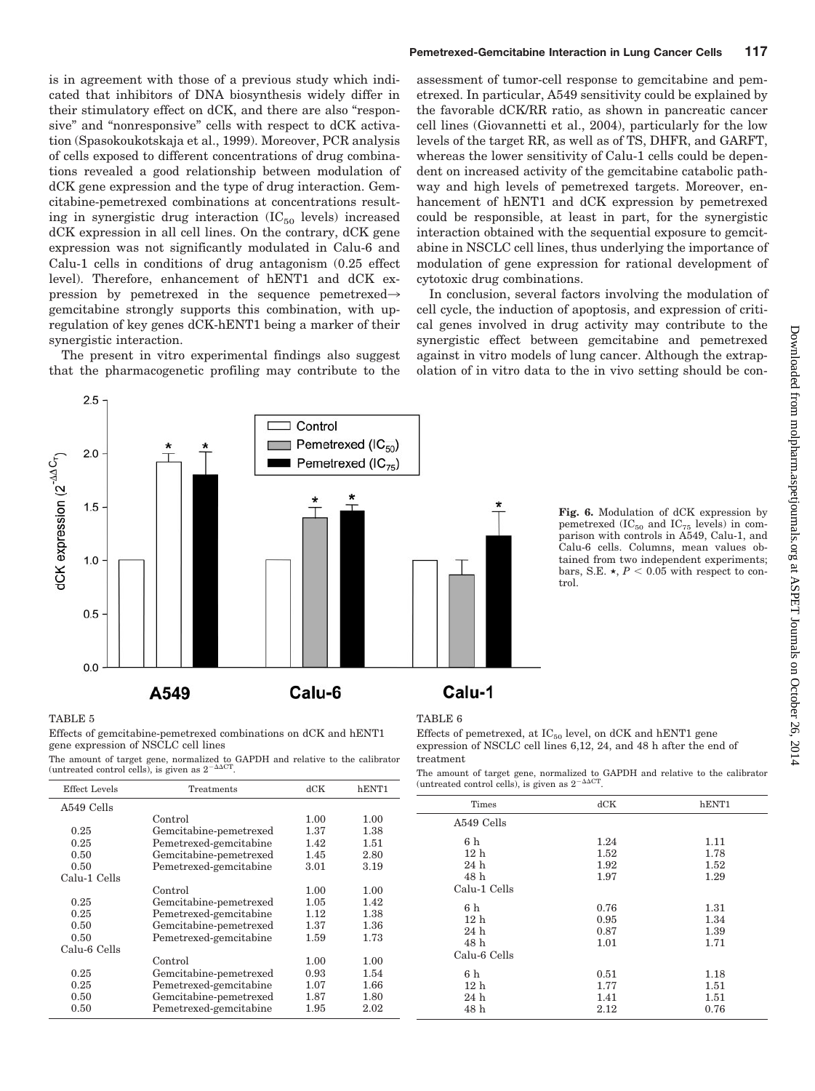is in agreement with those of a previous study which indicated that inhibitors of DNA biosynthesis widely differ in their stimulatory effect on dCK, and there are also "responsive" and "nonresponsive" cells with respect to dCK activation (Spasokoukotskaja et al., 1999). Moreover, PCR analysis of cells exposed to different concentrations of drug combinations revealed a good relationship between modulation of dCK gene expression and the type of drug interaction. Gemcitabine-pemetrexed combinations at concentrations resulting in synergistic drug interaction  $(IC_{50}$  levels) increased dCK expression in all cell lines. On the contrary, dCK gene expression was not significantly modulated in Calu-6 and Calu-1 cells in conditions of drug antagonism (0.25 effect level). Therefore, enhancement of hENT1 and dCK expression by pemetrexed in the sequence pemetrexed $\rightarrow$ gemcitabine strongly supports this combination, with upregulation of key genes dCK-hENT1 being a marker of their synergistic interaction.

The present in vitro experimental findings also suggest that the pharmacogenetic profiling may contribute to the

assessment of tumor-cell response to gemcitabine and pemetrexed. In particular, A549 sensitivity could be explained by the favorable dCK/RR ratio, as shown in pancreatic cancer cell lines (Giovannetti et al., 2004), particularly for the low levels of the target RR, as well as of TS, DHFR, and GARFT, whereas the lower sensitivity of Calu-1 cells could be dependent on increased activity of the gemcitabine catabolic pathway and high levels of pemetrexed targets. Moreover, enhancement of hENT1 and dCK expression by pemetrexed could be responsible, at least in part, for the synergistic interaction obtained with the sequential exposure to gemcitabine in NSCLC cell lines, thus underlying the importance of modulation of gene expression for rational development of cytotoxic drug combinations.

In conclusion, several factors involving the modulation of cell cycle, the induction of apoptosis, and expression of critical genes involved in drug activity may contribute to the synergistic effect between gemcitabine and pemetrexed against in vitro models of lung cancer. Although the extrapolation of in vitro data to the in vivo setting should be con-

> **Fig. 6.** Modulation of dCK expression by pemetrexed  $(IC_{50}$  and  $IC_{75}$  levels) in comparison with controls in A549, Calu-1, and Calu-6 cells. Columns, mean values obtained from two independent experiments; bars, S.E.  $\star$ ,  $P < 0.05$  with respect to con-



TABLE 5

 $2.5$ 

Effects of gemcitabine-pemetrexed combinations on dCK and hENT1 gene expression of NSCLC cell lines

The amount of target gene, normalized to GAPDH and relative to the calibrator (untreated control cells), is given as  $2^{-\Delta\Delta C}$ .

| <b>Effect Levels</b> | Treatments             | dCK      | hENT <sub>1</sub> |
|----------------------|------------------------|----------|-------------------|
| A549 Cells           |                        |          |                   |
|                      | Control                | 1.00     | 1.00              |
| 0.25                 | Gemcitabine-pemetrexed | 1.37     | 1.38              |
| 0.25                 | Pemetrexed-gemcitabine | 1.42     | 1.51              |
| 0.50                 | Gemcitabine-pemetrexed | 1.45     | 2.80              |
| 0.50                 | Pemetrexed-gemcitabine | 3.01     | 3.19              |
| Calu-1 Cells         |                        |          |                   |
|                      | Control                | 1.00     | 1.00              |
| 0.25                 | Gemcitabine-pemetrexed | 1.05     | 1.42              |
| 0.25                 | Pemetrexed-gemcitabine | 1.12     | 1.38              |
| 0.50                 | Gemcitabine-pemetrexed | 1.37     | 1.36              |
| 0.50                 | Pemetrexed-gemcitabine | 1.59     | 1.73              |
| Calu-6 Cells         |                        |          |                   |
|                      | Control                | 1.00     | 1.00              |
| 0.25                 | Gemcitabine-pemetrexed | 0.93     | 1.54              |
| 0.25                 | Pemetrexed-gemcitabine | 1.07     | 1.66              |
| 0.50                 | Gemcitabine-pemetrexed | 1.87     | 1.80              |
| 0.50                 | Pemetrexed-gemcitabine | $1.95\,$ | 2.02              |

Calu-1

## TABLE 6

Effects of pemetrexed, at  $IC_{50}$  level, on dCK and hENT1 gene expression of NSCLC cell lines 6,12, 24, and 48 h after the end of treatment

trol.

The amount of target gene, normalized to GAPDH and relative to the calibrator (untreated control cells), is given as  $2^{-\Delta\Delta CT}$ .

| Times           | dCK  | hENT1 |
|-----------------|------|-------|
| A549 Cells      |      |       |
| 6h              | 1.24 | 1.11  |
| 12 <sub>h</sub> | 1.52 | 1.78  |
| 24h             | 1.92 | 1.52  |
| 48 h            | 1.97 | 1.29  |
| Calu-1 Cells    |      |       |
| 6h              | 0.76 | 1.31  |
| 12 <sub>h</sub> | 0.95 | 1.34  |
| 24h             | 0.87 | 1.39  |
| 48 h            | 1.01 | 1.71  |
| Calu-6 Cells    |      |       |
| 6h              | 0.51 | 1.18  |
| 12 <sub>h</sub> | 1.77 | 1.51  |
| 24 <sub>h</sub> | 1.41 | 1.51  |
| 48 h            | 2.12 | 0.76  |
|                 |      |       |